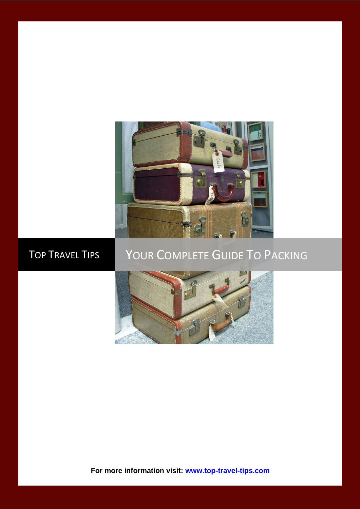

# TOP TRAVEL TIPS YOUR COMPLETE GUIDE TO PACKING



**For more information visit: [www.top-travel-tips.com](http://www.top-travel-tips.com/index.html)**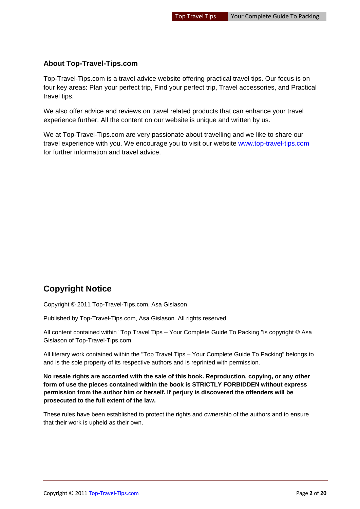#### **About Top-Travel-Tips.com**

Top-Travel-Tips.com is a travel advice website offering practical travel tips. Our focus is on four key areas: Plan your perfect trip, Find your perfect trip, Travel accessories, and Practical travel tips.

We also offer advice and reviews on travel related products that can enhance your travel experience further. All the content on our website is unique and written by us.

We at Top-Travel-Tips.com are very passionate about travelling and we like to share our travel experience with you. We encourage you to visit our website [www.top-travel-tips.com](http://www.top-travel-tips.com/index.html) for further information and travel advice.

# **Copyright Notice**

Copyright © 2011 Top-Travel-Tips.com, Asa Gislason

Published by Top-Travel-Tips.com, Asa Gislason. All rights reserved.

All content contained within "Top Travel Tips – Your Complete Guide To Packing "is copyright © Asa Gislason of Top-Travel-Tips.com.

All literary work contained within the "Top Travel Tips – Your Complete Guide To Packing" belongs to and is the sole property of its respective authors and is reprinted with permission.

**No resale rights are accorded with the sale of this book. Reproduction, copying, or any other form of use the pieces contained within the book is STRICTLY FORBIDDEN without express permission from the author him or herself. If perjury is discovered the offenders will be prosecuted to the full extent of the law.**

These rules have been established to protect the rights and ownership of the authors and to ensure that their work is upheld as their own.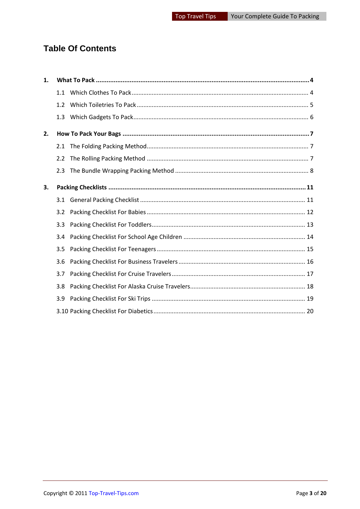# **Table Of Contents**

| 1. |     |  |
|----|-----|--|
|    | 1.1 |  |
|    | 1.2 |  |
|    | 1.3 |  |
| 2. |     |  |
|    | 2.1 |  |
|    | 2.2 |  |
|    | 2.3 |  |
| 3. |     |  |
|    | 3.1 |  |
|    | 3.2 |  |
|    | 3.3 |  |
|    | 3.4 |  |
|    | 3.5 |  |
|    | 3.6 |  |
|    | 3.7 |  |
|    | 3.8 |  |
|    | 3.9 |  |
|    |     |  |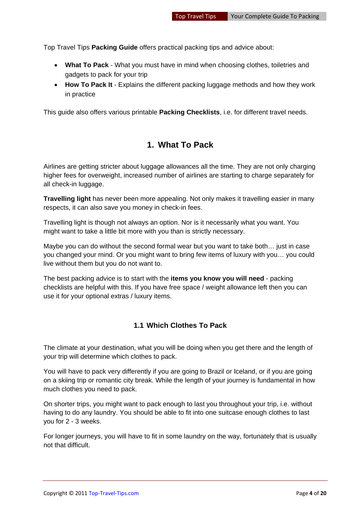Top Travel Tips **Packing Guide** offers practical packing tips and advice about:

- **What To Pack** What you must have in mind when choosing clothes, toiletries and gadgets to pack for your trip
- **How To Pack It** Explains the different packing luggage methods and how they work in practice

<span id="page-3-0"></span>This guide also offers various printable **Packing Checklists**, i.e. for different travel needs.

### **1. What To Pack**

Airlines are getting stricter about luggage allowances all the time. They are not only charging higher fees for overweight, increased number of airlines are starting to charge separately for all check-in luggage.

**Travelling light** has never been more appealing. Not only makes it travelling easier in many respects, it can also save you money in check-in fees.

Travelling light is though not always an option. Nor is it necessarily what you want. You might want to take a little bit more with you than is strictly necessary.

Maybe you can do without the second formal wear but you want to take both… just in case you changed your mind. Or you might want to bring few items of luxury with you… you could live without them but you do not want to.

The best packing advice is to start with the **items you know you will need** - packing checklists are helpful with this. If you have free space / weight allowance left then you can use it for your optional extras / luxury items.

#### <span id="page-3-1"></span>**1.1 Which Clothes To Pack**

The climate at your destination, what you will be doing when you get there and the length of your trip will determine which clothes to pack.

You will have to pack very differently if you are going to Brazil or Iceland, or if you are going on a skiing trip or romantic city break. While the length of your journey is fundamental in how much clothes you need to pack.

On shorter trips, you might want to pack enough to last you throughout your trip, i.e. without having to do any laundry. You should be able to fit into one suitcase enough clothes to last you for 2 - 3 weeks.

For longer journeys, you will have to fit in some laundry on the way, fortunately that is usually not that difficult.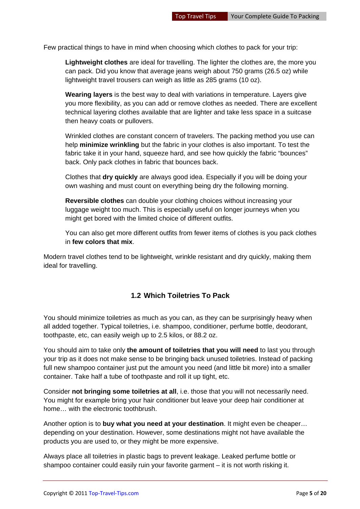Few practical things to have in mind when choosing which clothes to pack for your trip:

**Lightweight clothes** are ideal for travelling. The lighter the clothes are, the more you can pack. Did you know that average jeans weigh about 750 grams (26.5 oz) while lightweight travel trousers can weigh as little as 285 grams (10 oz).

**Wearing layers** is the best way to deal with variations in temperature. Layers give you more flexibility, as you can add or remove clothes as needed. There are excellent technical layering clothes available that are lighter and take less space in a suitcase then heavy coats or pullovers.

Wrinkled clothes are constant concern of travelers. The packing method you use can help **minimize wrinkling** but the fabric in your clothes is also important. To test the fabric take it in your hand, squeeze hard, and see how quickly the fabric "bounces" back. Only pack clothes in fabric that bounces back.

Clothes that **dry quickly** are always good idea. Especially if you will be doing your own washing and must count on everything being dry the following morning.

**Reversible clothes** can double your clothing choices without increasing your luggage weight too much. This is especially useful on longer journeys when you might get bored with the limited choice of different outfits.

You can also get more different outfits from fewer items of clothes is you pack clothes in **few colors that mix**.

Modern travel clothes tend to be lightweight, wrinkle resistant and dry quickly, making them ideal for travelling.

#### <span id="page-4-0"></span>**1.2 Which Toiletries To Pack**

You should minimize toiletries as much as you can, as they can be surprisingly heavy when all added together. Typical toiletries, i.e. shampoo, conditioner, perfume bottle, deodorant, toothpaste, etc, can easily weigh up to 2.5 kilos, or 88.2 oz.

You should aim to take only **the amount of toiletries that you will need** to last you through your trip as it does not make sense to be bringing back unused toiletries. Instead of packing full new shampoo container just put the amount you need (and little bit more) into a smaller container. Take half a tube of toothpaste and roll it up tight, etc.

Consider **not bringing some toiletries at all**, i.e. those that you will not necessarily need. You might for example bring your hair conditioner but leave your deep hair conditioner at home… with the electronic toothbrush.

Another option is to **buy what you need at your destination**. It might even be cheaper… depending on your destination. However, some destinations might not have available the products you are used to, or they might be more expensive.

Always place all toiletries in plastic bags to prevent leakage. Leaked perfume bottle or shampoo container could easily ruin your favorite garment – it is not worth risking it.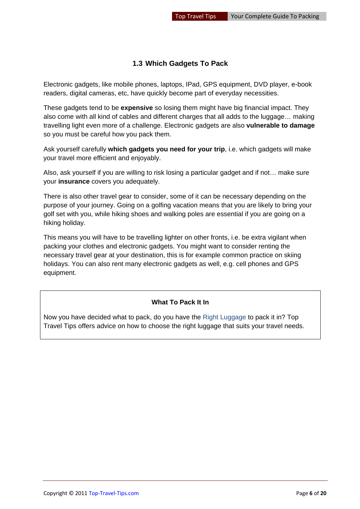#### <span id="page-5-0"></span>**1.3 Which Gadgets To Pack**

Electronic gadgets, like mobile phones, laptops, IPad, GPS equipment, DVD player, e-book readers, digital cameras, etc, have quickly become part of everyday necessities.

These gadgets tend to be **expensive** so losing them might have big financial impact. They also come with all kind of cables and different charges that all adds to the luggage… making travelling light even more of a challenge. Electronic gadgets are also **vulnerable to damage** so you must be careful how you pack them.

Ask yourself carefully **which gadgets you need for your trip**, i.e. which gadgets will make your travel more efficient and enjoyably.

Also, ask yourself if you are willing to risk losing a particular gadget and if not… make sure your **insurance** covers you adequately.

There is also other travel gear to consider, some of it can be necessary depending on the purpose of your journey. Going on a golfing vacation means that you are likely to bring your golf set with you, while hiking shoes and walking poles are essential if you are going on a hiking holiday.

This means you will have to be travelling lighter on other fronts, i.e. be extra vigilant when packing your clothes and electronic gadgets. You might want to consider renting the necessary travel gear at your destination, this is for example common practice on skiing holidays. You can also rent many electronic gadgets as well, e.g. cell phones and GPS equipment.

#### **What To Pack It In**

Now you have decided what to pack, do you have the [Right Luggage](http://www.top-travel-tips.com/international-traveler-luggage.html) to pack it in? Top Travel Tips offers advice on how to choose the right luggage that suits your travel needs.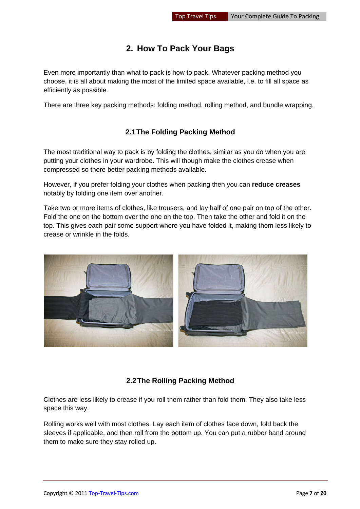# **2. How To Pack Your Bags**

<span id="page-6-0"></span>Even more importantly than what to pack is how to pack. Whatever packing method you choose, it is all about making the most of the limited space available, i.e. to fill all space as efficiently as possible.

There are three key packing methods: folding method, rolling method, and bundle wrapping.

#### **2.1The Folding Packing Method**

<span id="page-6-1"></span>The most traditional way to pack is by folding the clothes, similar as you do when you are putting your clothes in your wardrobe. This will though make the clothes crease when compressed so there better packing methods available.

However, if you prefer folding your clothes when packing then you can **reduce creases** notably by folding one item over another.

Take two or more items of clothes, like trousers, and lay half of one pair on top of the other. Fold the one on the bottom over the one on the top. Then take the other and fold it on the top. This gives each pair some support where you have folded it, making them less likely to crease or wrinkle in the folds.



#### **2.2The Rolling Packing Method**

<span id="page-6-2"></span>Clothes are less likely to crease if you roll them rather than fold them. They also take less space this way.

Rolling works well with most clothes. Lay each item of clothes face down, fold back the sleeves if applicable, and then roll from the bottom up. You can put a rubber band around them to make sure they stay rolled up.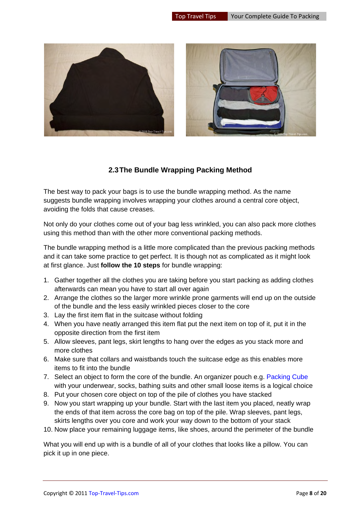

#### **2.3The Bundle Wrapping Packing Method**

<span id="page-7-0"></span>The best way to pack your bags is to use the bundle wrapping method. As the name suggests bundle wrapping involves wrapping your clothes around a central core object, avoiding the folds that cause creases.

Not only do your clothes come out of your bag less wrinkled, you can also pack more clothes using this method than with the other more conventional packing methods.

The bundle wrapping method is a little more complicated than the previous packing methods and it can take some practice to get perfect. It is though not as complicated as it might look at first glance. Just **follow the 10 steps** for bundle wrapping:

- 1. Gather together all the clothes you are taking before you start packing as adding clothes afterwards can mean you have to start all over again
- 2. Arrange the clothes so the larger more wrinkle prone garments will end up on the outside of the bundle and the less easily wrinkled pieces closer to the core
- 3. Lay the first item flat in the suitcase without folding
- 4. When you have neatly arranged this item flat put the next item on top of it, put it in the opposite direction from the first item
- 5. Allow sleeves, pant legs, skirt lengths to hang over the edges as you stack more and more clothes
- 6. Make sure that collars and waistbands touch the suitcase edge as this enables more items to fit into the bundle
- 7. Select an object to form the core of the bundle. An organizer pouch e.g. [Packing Cube](http://www.top-travel-tips.com/packing-cubes.html) with your underwear, socks, bathing suits and other small loose items is a logical choice
- 8. Put your chosen core object on top of the pile of clothes you have stacked
- 9. Now you start wrapping up your bundle. Start with the last item you placed, neatly wrap the ends of that item across the core bag on top of the pile. Wrap sleeves, pant legs, skirts lengths over you core and work your way down to the bottom of your stack
- 10. Now place your remaining luggage items, like shoes, around the perimeter of the bundle

What you will end up with is a bundle of all of your clothes that looks like a pillow. You can pick it up in one piece.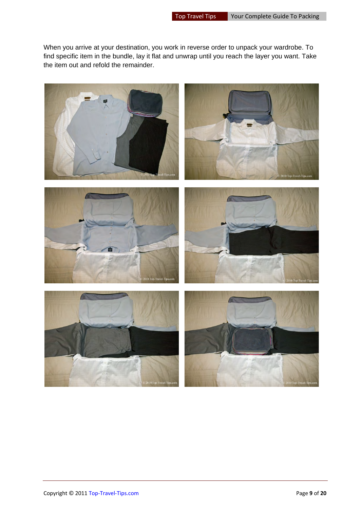When you arrive at your destination, you work in reverse order to unpack your wardrobe. To find specific item in the bundle, lay it flat and unwrap until you reach the layer you want. Take the item out and refold the remainder.

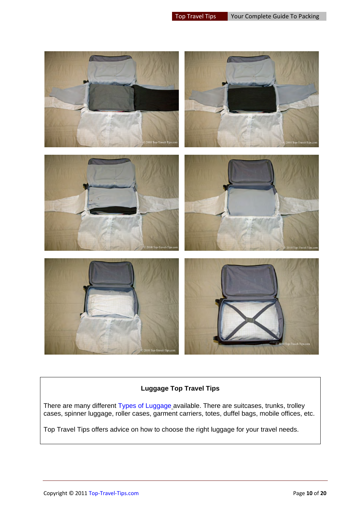

#### **Luggage Top Travel Tips**

There are many different [Types of Luggage](http://www.top-travel-tips.com/cabin-luggage.html) available. There are suitcases, trunks, trolley cases, spinner luggage, roller cases, garment carriers, totes, duffel bags, mobile offices, etc.

Top Travel Tips offers advice on how to choose the right luggage for your travel needs.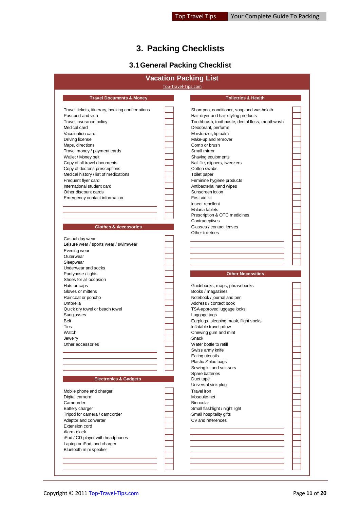# **3. Packing Checklists**

# **3.1 General Packing Checklist**

<span id="page-10-1"></span><span id="page-10-0"></span>

|                                                          | <b>Vacation Packing List</b>                    |  |
|----------------------------------------------------------|-------------------------------------------------|--|
|                                                          | Top-Travel-Tips.com                             |  |
| <b>Travel Documents &amp; Money</b>                      | <b>Toiletries &amp; Health</b>                  |  |
| Travel tickets, itinerary, booking confirmations         | Shampoo, conditioner, soap and washcloth        |  |
| Passport and visa                                        | Hair dryer and hair styling products            |  |
| Travel insurance policy                                  | Toothbrush, toothpaste, dental floss, mouthwash |  |
| Medical card                                             | Deodorant, perfume                              |  |
| Vaccination card                                         | Moisturizer, lip balm                           |  |
| Driving license                                          | Make-up and remover                             |  |
| Maps, directions                                         | Comb or brush<br>Small mirror                   |  |
| Travel money / payment cards<br>Wallet / Money belt      | Shaving equipments                              |  |
| Copy of all travel documents                             | Nail file, clippers, tweezers                   |  |
| Copy of doctor's prescriptions                           | Cotton swabs                                    |  |
| Medical history / list of medications                    | Toilet paper                                    |  |
| Frequent flyer card                                      | Feminine hygiene products                       |  |
| International student card                               | Antibacterial hand wipes                        |  |
| Other discount cards                                     | Sunscreen lotion                                |  |
| Emergency contact information                            | First aid kit                                   |  |
|                                                          | Insect repellent                                |  |
|                                                          | Malaria tablets                                 |  |
|                                                          | Prescription & OTC medicines                    |  |
|                                                          | Contraceptives                                  |  |
| <b>Clothes &amp; Accessories</b>                         | Glasses / contact lenses                        |  |
|                                                          | Other toiletries                                |  |
| Casual day wear<br>Leisure wear / sports wear / swimwear |                                                 |  |
| Evening wear                                             |                                                 |  |
| Outerwear                                                |                                                 |  |
| Sleepwear                                                |                                                 |  |
| Underwear and socks                                      |                                                 |  |
| Pantyhose / tights                                       | <b>Other Necessities</b>                        |  |
| Shoes for all occasion                                   |                                                 |  |
| Hats or caps                                             | Guidebooks, maps, phrasebooks                   |  |
| Gloves or mittens                                        | Books / magazines                               |  |
| Raincoat or poncho                                       | Notebook / journal and pen                      |  |
| Umbrella                                                 | Address / contact book                          |  |
| Quick dry towel or beach towel                           | TSA-approved luggage locks                      |  |
| Sunglasses                                               | Luggage tags                                    |  |
| Belt                                                     | Earplugs, sleeping mask, flight socks           |  |
| Ties<br>Watch                                            | Inflatable travel pillow                        |  |
| Jewelry                                                  | Chewing gum and mint<br>Snack                   |  |
| Other accessories                                        | Water bottle to refill                          |  |
|                                                          | Swiss army knife                                |  |
|                                                          | Eating utensils                                 |  |
|                                                          | Plastic Ziploc bags                             |  |
|                                                          | Sewing kit and scissors                         |  |
|                                                          | Spare batteries                                 |  |
| <b>Electronics &amp; Gadgets</b>                         | Duct tape                                       |  |
|                                                          | Universal sink plug                             |  |
| Mobile phone and charger                                 | <b>Travel</b> iron                              |  |
| Digital camera                                           | Mosquito net                                    |  |
| Camcorder                                                | <b>Binocular</b>                                |  |
| <b>Battery charger</b>                                   | Small flashlight / night light                  |  |
| Tripod for camera / camcorder<br>Adaptor and converter   | Small hospitality gifts<br>CV and references    |  |
| <b>Extension cord</b>                                    |                                                 |  |
| Alarm clock                                              |                                                 |  |
| iPod / CD player with headphones                         |                                                 |  |
| Laptop or iPad, and charger                              |                                                 |  |
| Bluetooth mini speaker                                   |                                                 |  |
|                                                          |                                                 |  |
|                                                          |                                                 |  |
|                                                          |                                                 |  |
|                                                          |                                                 |  |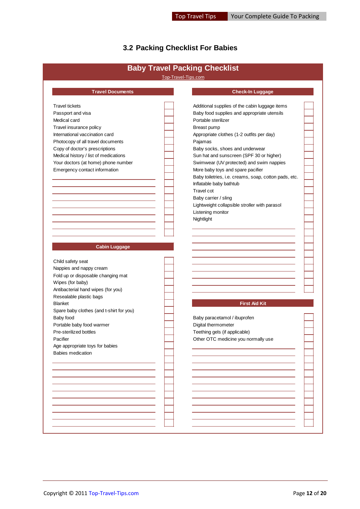# <span id="page-11-0"></span>**3.2 Packing Checklist For Babies**

|                                                                                                                                              | Top-Travel-Tips.com                                   |  |
|----------------------------------------------------------------------------------------------------------------------------------------------|-------------------------------------------------------|--|
| <b>Travel Documents</b>                                                                                                                      | <b>Check-In Luggage</b>                               |  |
| <b>Travel tickets</b>                                                                                                                        | Additional supplies of the cabin luggage items        |  |
| Passport and visa                                                                                                                            | Baby food supplies and appropriate utensils           |  |
| Medical card                                                                                                                                 | Portable sterilizer                                   |  |
| Travel insurance policy                                                                                                                      | Breast pump                                           |  |
| International vaccination card                                                                                                               | Appropriate clothes (1-2 outfits per day)             |  |
|                                                                                                                                              |                                                       |  |
| Photocopy of all travel documents                                                                                                            | Pajamas                                               |  |
| Copy of doctor's prescriptions                                                                                                               | Baby socks, shoes and underwear                       |  |
| Medical history / list of medications                                                                                                        | Sun hat and sunscreen (SPF 30 or higher)              |  |
| Your doctors (at home) phone number                                                                                                          | Swimwear (UV protected) and swim nappies              |  |
| Emergency contact information                                                                                                                | More baby toys and spare pacifier                     |  |
|                                                                                                                                              | Baby toiletries, i.e. creams, soap, cotton pads, etc. |  |
|                                                                                                                                              | Inflatable baby bathtub                               |  |
|                                                                                                                                              | Travel cot                                            |  |
|                                                                                                                                              | Baby carrier / sling                                  |  |
|                                                                                                                                              | Lightweight collapsible stroller with parasol         |  |
|                                                                                                                                              | Listening monitor                                     |  |
|                                                                                                                                              | Nightlight                                            |  |
|                                                                                                                                              |                                                       |  |
|                                                                                                                                              |                                                       |  |
| Child safety seat<br>Nappies and nappy cream<br>Fold up or disposable changing mat<br>Wipes (for baby)<br>Antibacterial hand wipes (for you) |                                                       |  |
| Resealable plastic bags<br><b>Blanket</b>                                                                                                    | <b>First Aid Kit</b>                                  |  |
| Spare baby clothes (and t-shirt for you)                                                                                                     |                                                       |  |
| Baby food                                                                                                                                    | Baby paracetamol / ibuprofen                          |  |
| Portable baby food warmer                                                                                                                    | Digital thermometer                                   |  |
| Pre-sterilized bottles                                                                                                                       | Teething gels (if applicable)                         |  |
| Pacifier                                                                                                                                     | Other OTC medicine you normally use                   |  |
| Age appropriate toys for babies                                                                                                              |                                                       |  |
| <b>Babies medication</b>                                                                                                                     |                                                       |  |
|                                                                                                                                              |                                                       |  |
|                                                                                                                                              |                                                       |  |
|                                                                                                                                              |                                                       |  |
|                                                                                                                                              |                                                       |  |
|                                                                                                                                              |                                                       |  |
|                                                                                                                                              |                                                       |  |
|                                                                                                                                              |                                                       |  |
|                                                                                                                                              |                                                       |  |
|                                                                                                                                              |                                                       |  |
|                                                                                                                                              |                                                       |  |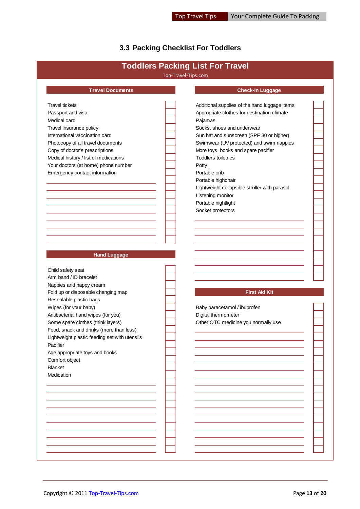# <span id="page-12-0"></span>**3.3 Packing Checklist For Toddlers**

|                                                               | <b>Toddlers Packing List For Travel</b><br>Top-Travel-Tips.com |  |
|---------------------------------------------------------------|----------------------------------------------------------------|--|
|                                                               |                                                                |  |
| <b>Travel Documents</b>                                       | <b>Check-In Luggage</b>                                        |  |
| <b>Travel tickets</b>                                         | Additional supplies of the hand luggage items                  |  |
| Passport and visa                                             | Appropriate clothes for destination climate                    |  |
| Medical card                                                  | Pajamas                                                        |  |
| Travel insurance policy                                       | Socks, shoes and underwear                                     |  |
| International vaccination card                                | Sun hat and sunscreen (SPF 30 or higher)                       |  |
| Photocopy of all travel documents                             | Swimwear (UV protected) and swim nappies                       |  |
| Copy of doctor's prescriptions                                | More toys, books and spare pacifier                            |  |
| Medical history / list of medications                         | <b>Toddlers toiletries</b>                                     |  |
| Your doctors (at home) phone number                           | Potty                                                          |  |
| Emergency contact information                                 | Portable crib                                                  |  |
|                                                               | Portable highchair                                             |  |
|                                                               | Lightweight collapsible stroller with parasol                  |  |
|                                                               | Listening monitor                                              |  |
|                                                               | Portable nightlight                                            |  |
|                                                               | Socket protectors                                              |  |
|                                                               |                                                                |  |
|                                                               |                                                                |  |
|                                                               |                                                                |  |
|                                                               |                                                                |  |
| <b>Hand Luggage</b>                                           |                                                                |  |
|                                                               |                                                                |  |
| Child safety seat<br>Arm band / ID bracelet                   |                                                                |  |
|                                                               |                                                                |  |
| Nappies and nappy cream<br>Fold up or disposable changing map | <b>First Aid Kit</b>                                           |  |
| Resealable plastic bags                                       |                                                                |  |
| Wipes (for your baby)                                         | Baby paracetamol / ibuprofen                                   |  |
| Antibacterial hand wipes (for you)                            | Digital thermometer                                            |  |
| Some spare clothes (think layers)                             | Other OTC medicine you normally use                            |  |
| Food, snack and drinks (more than less)                       |                                                                |  |
| Lightweight plastic feeding set with utensils                 |                                                                |  |
| Pacifier                                                      |                                                                |  |
| Age appropriate toys and books                                |                                                                |  |
| Comfort object                                                |                                                                |  |
| Blanket                                                       |                                                                |  |
| Medication                                                    |                                                                |  |
|                                                               |                                                                |  |
|                                                               |                                                                |  |
|                                                               |                                                                |  |
|                                                               |                                                                |  |
|                                                               |                                                                |  |
|                                                               |                                                                |  |
|                                                               |                                                                |  |
|                                                               |                                                                |  |
|                                                               |                                                                |  |
|                                                               |                                                                |  |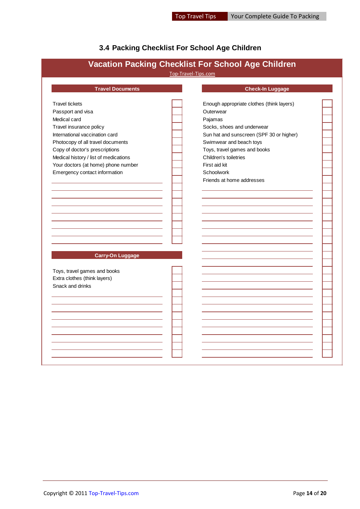#### <span id="page-13-0"></span>**3.4 Packing Checklist For School Age Children**

# Travel tickets Enough appropriate clothes (think layers) Passport and visa **Duterwear Duterwear Outerwear** Medical card **Pajamas** Travel insurance policy Socks, shoes and underwear International vaccination card Sun hat and sunscreen (SPF 30 or higher) Sun hat and sunscreen (SPF 30 or higher) Photocopy of all travel documents **Subset Conservative Conservative Conservative** Swimwear and beach toys Copy of doctor's prescriptions Toys, travel games and books Medical history / list of medications  $\overline{C}$  Children's toiletries Your doctors (at home) phone number First aid kit Emergency contact information **Schoolwork** Schoolwork Friends at home addresses Toys, travel games and books Extra clothes (think layers) Snack and drinks **Vacation Packing Checklist For School Age Children** Top-Travel-Tips.com **Travel Documents Check-In Luggage Carry-On Luggage**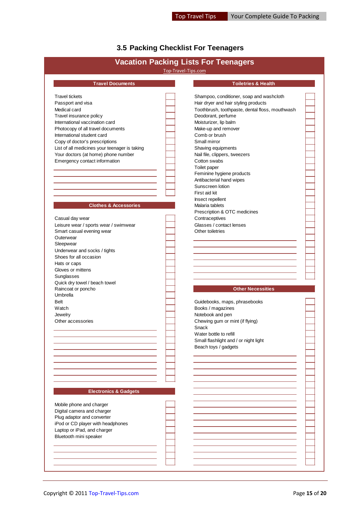# <span id="page-14-0"></span>**3.5 Packing Checklist For Teenagers**

|                                               |                     | <b>Vacation Packing Lists For Teenagers</b>     |  |
|-----------------------------------------------|---------------------|-------------------------------------------------|--|
|                                               | Top-Travel-Tips.com |                                                 |  |
| <b>Travel Documents</b>                       |                     | <b>Toiletries &amp; Health</b>                  |  |
| <b>Travel tickets</b>                         |                     | Shampoo, conditioner, soap and washcloth        |  |
| Passport and visa                             |                     | Hair dryer and hair styling products            |  |
| Medical card                                  |                     | Toothbrush, toothpaste, dental floss, mouthwash |  |
| Travel insurance policy                       |                     | Deodorant, perfume                              |  |
| International vaccination card                |                     | Moisturizer, lip balm                           |  |
| Photocopy of all travel documents             |                     | Make-up and remover                             |  |
| International student card                    |                     | Comb or brush                                   |  |
| Copy of doctor's prescriptions                |                     | Small mirror                                    |  |
| List of all medicines your teenager is taking |                     | Shaving equipments                              |  |
| Your doctors (at home) phone number           |                     | Nail file, clippers, tweezers                   |  |
| Emergency contact information                 |                     | Cotton swabs                                    |  |
|                                               |                     | Toilet paper                                    |  |
|                                               |                     |                                                 |  |
|                                               |                     | Feminine hygiene products                       |  |
|                                               |                     | Antibacterial hand wipes                        |  |
|                                               |                     | Sunscreen lotion                                |  |
|                                               |                     | First aid kit                                   |  |
|                                               |                     | Insect repellent                                |  |
| <b>Clothes &amp; Accessories</b>              |                     | Malaria tablets                                 |  |
|                                               |                     | Prescription & OTC medicines                    |  |
| Casual day wear                               |                     | Contraceptives                                  |  |
| Leisure wear / sports wear / swimwear         |                     | Glasses / contact lenses                        |  |
| Smart casual evening wear                     |                     | Other toiletries                                |  |
| Outerwear                                     |                     |                                                 |  |
| Sleepwear                                     |                     |                                                 |  |
| Underwear and socks / tights                  |                     |                                                 |  |
| Shoes for all occasion                        |                     |                                                 |  |
| Hats or caps                                  |                     |                                                 |  |
| Gloves or mittens                             |                     |                                                 |  |
| Sunglasses                                    |                     |                                                 |  |
| Quick dry towel / beach towel                 |                     |                                                 |  |
| Raincoat or poncho                            |                     | <b>Other Necessities</b>                        |  |
| Umbrella                                      |                     |                                                 |  |
| <b>Belt</b>                                   |                     | Guidebooks, maps, phrasebooks                   |  |
| Watch                                         |                     | Books / magazines                               |  |
| Jewelry                                       |                     | Notebook and pen                                |  |
| Other accessories                             |                     | Chewing gum or mint (if flying)                 |  |
|                                               |                     | Snack                                           |  |
|                                               |                     | Water bottle to refill                          |  |
|                                               |                     |                                                 |  |
|                                               |                     | Small flashlight and / or night light           |  |
|                                               |                     | Beach toys / gadgets                            |  |
|                                               |                     |                                                 |  |
|                                               |                     |                                                 |  |
|                                               |                     |                                                 |  |
|                                               |                     |                                                 |  |
|                                               |                     |                                                 |  |
|                                               |                     |                                                 |  |
| <b>Electronics &amp; Gadgets</b>              |                     |                                                 |  |
|                                               |                     |                                                 |  |
| Mobile phone and charger                      |                     |                                                 |  |
| Digital camera and charger                    |                     |                                                 |  |
| Plug adaptor and converter                    |                     |                                                 |  |
| iPod or CD player with headphones             |                     |                                                 |  |
| Laptop or iPad, and charger                   |                     |                                                 |  |
| Bluetooth mini speaker                        |                     |                                                 |  |
|                                               |                     |                                                 |  |
|                                               |                     |                                                 |  |
|                                               |                     |                                                 |  |
|                                               |                     |                                                 |  |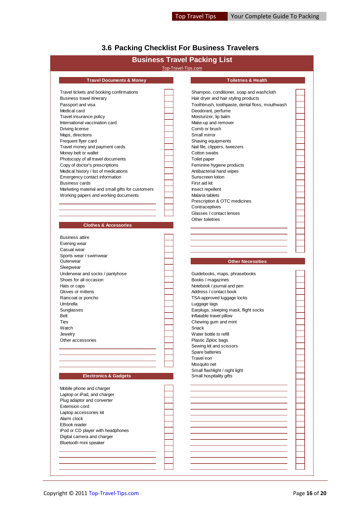### <span id="page-15-0"></span>**3.6 Packing Checklist For Business Travelers**

|                                                  | Top-Travel-Tips.com | <b>Business Travel Packing List</b>             |  |
|--------------------------------------------------|---------------------|-------------------------------------------------|--|
| <b>Travel Documents &amp; Money</b>              |                     | <b>Toiletries &amp; Health</b>                  |  |
| Travel tickets and booking confirmations         |                     | Shampoo, conditioner, soap and washcloth        |  |
| Business travel itinerary                        |                     | Hair dryer and hair styling products            |  |
| Passport and visa                                |                     | Toothbrush, toothpaste, dental floss, mouthwash |  |
| Medical card                                     |                     | Deodorant, perfume                              |  |
| Travel insurance policy                          |                     | Moisturizer, lip balm                           |  |
|                                                  |                     |                                                 |  |
| International vaccination card                   |                     | Make-up and remover                             |  |
| Driving license                                  |                     | Comb or brush                                   |  |
| Maps, directions                                 |                     | Small mirror                                    |  |
| Frequent flyer card                              |                     | Shaving equipments                              |  |
| Travel money and payment cards                   |                     | Nail file, clippers, tweezers                   |  |
| Money belt or wallet                             |                     | Cotton swabs                                    |  |
| Photocopy of all travel documents                |                     | Toilet paper                                    |  |
| Copy of doctor's prescriptions                   |                     | Feminine hygiene products                       |  |
| Medical history / list of medications            |                     | Antibacterial hand wipes                        |  |
| Emergency contact information                    |                     | Sunscreen lotion                                |  |
| <b>Business cards</b>                            |                     | First aid kit                                   |  |
|                                                  |                     |                                                 |  |
| Marketing material and small gifts for customers |                     | Insect repellent                                |  |
| Working papers and working documents             |                     | Malaria tablets                                 |  |
|                                                  |                     | Prescription & OTC medicines                    |  |
|                                                  |                     | Contraceptives                                  |  |
|                                                  |                     | Glasses / contact lenses                        |  |
|                                                  |                     | Other toiletries                                |  |
| <b>Clothes &amp; Accessories</b>                 |                     |                                                 |  |
|                                                  |                     |                                                 |  |
| <b>Business attire</b>                           |                     |                                                 |  |
| Evening wear                                     |                     |                                                 |  |
| Casual wear                                      |                     |                                                 |  |
|                                                  |                     |                                                 |  |
| Sports wear / swimwear                           |                     |                                                 |  |
| Outerwear                                        |                     | <b>Other Necessities</b>                        |  |
| Sleepwear                                        |                     |                                                 |  |
| Underwear and socks / pantyhose                  |                     | Guidebooks, maps, phrasebooks                   |  |
| Shoes for all occasion                           |                     | Books / magazines                               |  |
| Hats or caps                                     |                     | Notebook / journal and pen                      |  |
| Gloves or mittens                                |                     | Address / contact book                          |  |
| Raincoat or poncho                               |                     | TSA-approved luggage locks                      |  |
| Umbrella                                         |                     | Luggage tags                                    |  |
| Sunglasses                                       |                     | Earplugs, sleeping mask, flight socks           |  |
| Belt                                             |                     | Inflatable travel pillow                        |  |
|                                                  |                     |                                                 |  |
| Ties                                             |                     | Chewing gum and mint                            |  |
| Watch                                            |                     | Snack                                           |  |
| Jewelry                                          |                     | Water bottle to refill                          |  |
| Other accessories                                |                     | Plastic Ziploc bags                             |  |
|                                                  |                     | Sewing kit and scissors                         |  |
|                                                  |                     | Spare batteries                                 |  |
|                                                  |                     | Travel iron                                     |  |
|                                                  |                     | Mosquito net                                    |  |
|                                                  |                     | Small flashlight / night light                  |  |
| <b>Electronics &amp; Gadgets</b>                 |                     | Small hospitality gifts                         |  |
|                                                  |                     |                                                 |  |
|                                                  |                     |                                                 |  |
| Mobile phone and charger                         |                     |                                                 |  |
| Laptop or iPad, and charger                      |                     |                                                 |  |
| Plug adaptor and converter                       |                     |                                                 |  |
| Extension cord                                   |                     |                                                 |  |
|                                                  |                     |                                                 |  |
| Laptop accessories kit                           |                     |                                                 |  |
| Alarm clock                                      |                     |                                                 |  |
|                                                  |                     |                                                 |  |
| <b>EBook reader</b>                              |                     |                                                 |  |
| iPod or CD player with headphones                |                     |                                                 |  |
| Digital camera and charger                       |                     |                                                 |  |
| Bluetooth mini speaker                           |                     |                                                 |  |
|                                                  |                     |                                                 |  |
|                                                  |                     |                                                 |  |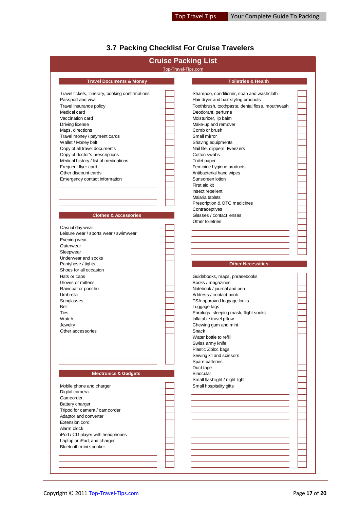## <span id="page-16-0"></span>**3.7 Packing Checklist For Cruise Travelers**

| Top-Travel-Tips.com<br><b>Travel Documents &amp; Money</b><br><b>Toiletries &amp; Health</b><br>Shampoo, conditioner, soap and washcloth<br>Hair dryer and hair styling products<br>Toothbrush, toothpaste, dental floss, mouthwash<br>Deodorant, perfume<br>Moisturizer, lip balm<br>Make-up and remover<br>Comb or brush<br>Small mirror<br>Shaving equipments<br>Nail file, clippers, tweezers<br>Cotton swabs<br>Medical history / list of medications<br>Toilet paper<br>Frequent flyer card<br>Feminine hygiene products<br>Other discount cards<br>Antibacterial hand wipes<br>Sunscreen lotion<br>First aid kit<br>Insect repellent<br>Malaria tablets<br>Prescription & OTC medicines<br>Contraceptives<br><b>Clothes &amp; Accessories</b><br>Glasses / contact lenses<br>Other toiletries<br>Casual day wear<br>Leisure wear / sports wear / swimwear<br>Underwear and socks<br><b>Other Necessities</b><br>Pantyhose / tights<br>Shoes for all occasion<br>Hats or caps<br>Guidebooks, maps, phrasebooks<br>Gloves or mittens<br>Books / magazines<br>Notebook / journal and pen<br>Raincoat or poncho<br>Address / contact book<br>Umbrella<br>TSA-approved luggage locks<br>Sunglasses<br><b>Belt</b><br>Luggage tags<br>Earplugs, sleeping mask, flight socks<br>Inflatable travel pillow<br>Chewing gum and mint<br>Snack<br>Water bottle to refill<br>Swiss army knife<br>Plastic Ziploc bags<br>Sewing kit and scissors<br>Spare batteries<br>Duct tape<br><b>Electronics &amp; Gadgets</b><br><b>Binocular</b><br>Small flashlight / night light<br>Small hospitality gifts<br>Laptop or iPad, and charger |                                                  | <b>Cruise Packing List</b> |  |
|-------------------------------------------------------------------------------------------------------------------------------------------------------------------------------------------------------------------------------------------------------------------------------------------------------------------------------------------------------------------------------------------------------------------------------------------------------------------------------------------------------------------------------------------------------------------------------------------------------------------------------------------------------------------------------------------------------------------------------------------------------------------------------------------------------------------------------------------------------------------------------------------------------------------------------------------------------------------------------------------------------------------------------------------------------------------------------------------------------------------------------------------------------------------------------------------------------------------------------------------------------------------------------------------------------------------------------------------------------------------------------------------------------------------------------------------------------------------------------------------------------------------------------------------------------------------------------------------------------------------------------|--------------------------------------------------|----------------------------|--|
|                                                                                                                                                                                                                                                                                                                                                                                                                                                                                                                                                                                                                                                                                                                                                                                                                                                                                                                                                                                                                                                                                                                                                                                                                                                                                                                                                                                                                                                                                                                                                                                                                               |                                                  |                            |  |
|                                                                                                                                                                                                                                                                                                                                                                                                                                                                                                                                                                                                                                                                                                                                                                                                                                                                                                                                                                                                                                                                                                                                                                                                                                                                                                                                                                                                                                                                                                                                                                                                                               |                                                  |                            |  |
|                                                                                                                                                                                                                                                                                                                                                                                                                                                                                                                                                                                                                                                                                                                                                                                                                                                                                                                                                                                                                                                                                                                                                                                                                                                                                                                                                                                                                                                                                                                                                                                                                               | Travel tickets, itinerary, booking confirmations |                            |  |
|                                                                                                                                                                                                                                                                                                                                                                                                                                                                                                                                                                                                                                                                                                                                                                                                                                                                                                                                                                                                                                                                                                                                                                                                                                                                                                                                                                                                                                                                                                                                                                                                                               | Passport and visa                                |                            |  |
|                                                                                                                                                                                                                                                                                                                                                                                                                                                                                                                                                                                                                                                                                                                                                                                                                                                                                                                                                                                                                                                                                                                                                                                                                                                                                                                                                                                                                                                                                                                                                                                                                               | Travel insurance policy                          |                            |  |
|                                                                                                                                                                                                                                                                                                                                                                                                                                                                                                                                                                                                                                                                                                                                                                                                                                                                                                                                                                                                                                                                                                                                                                                                                                                                                                                                                                                                                                                                                                                                                                                                                               | Medical card                                     |                            |  |
|                                                                                                                                                                                                                                                                                                                                                                                                                                                                                                                                                                                                                                                                                                                                                                                                                                                                                                                                                                                                                                                                                                                                                                                                                                                                                                                                                                                                                                                                                                                                                                                                                               | Vaccination card                                 |                            |  |
|                                                                                                                                                                                                                                                                                                                                                                                                                                                                                                                                                                                                                                                                                                                                                                                                                                                                                                                                                                                                                                                                                                                                                                                                                                                                                                                                                                                                                                                                                                                                                                                                                               | Driving license                                  |                            |  |
|                                                                                                                                                                                                                                                                                                                                                                                                                                                                                                                                                                                                                                                                                                                                                                                                                                                                                                                                                                                                                                                                                                                                                                                                                                                                                                                                                                                                                                                                                                                                                                                                                               | Maps, directions                                 |                            |  |
|                                                                                                                                                                                                                                                                                                                                                                                                                                                                                                                                                                                                                                                                                                                                                                                                                                                                                                                                                                                                                                                                                                                                                                                                                                                                                                                                                                                                                                                                                                                                                                                                                               | Travel money / payment cards                     |                            |  |
|                                                                                                                                                                                                                                                                                                                                                                                                                                                                                                                                                                                                                                                                                                                                                                                                                                                                                                                                                                                                                                                                                                                                                                                                                                                                                                                                                                                                                                                                                                                                                                                                                               | Wallet / Money belt                              |                            |  |
|                                                                                                                                                                                                                                                                                                                                                                                                                                                                                                                                                                                                                                                                                                                                                                                                                                                                                                                                                                                                                                                                                                                                                                                                                                                                                                                                                                                                                                                                                                                                                                                                                               | Copy of all travel documents                     |                            |  |
|                                                                                                                                                                                                                                                                                                                                                                                                                                                                                                                                                                                                                                                                                                                                                                                                                                                                                                                                                                                                                                                                                                                                                                                                                                                                                                                                                                                                                                                                                                                                                                                                                               | Copy of doctor's prescriptions                   |                            |  |
|                                                                                                                                                                                                                                                                                                                                                                                                                                                                                                                                                                                                                                                                                                                                                                                                                                                                                                                                                                                                                                                                                                                                                                                                                                                                                                                                                                                                                                                                                                                                                                                                                               |                                                  |                            |  |
|                                                                                                                                                                                                                                                                                                                                                                                                                                                                                                                                                                                                                                                                                                                                                                                                                                                                                                                                                                                                                                                                                                                                                                                                                                                                                                                                                                                                                                                                                                                                                                                                                               |                                                  |                            |  |
|                                                                                                                                                                                                                                                                                                                                                                                                                                                                                                                                                                                                                                                                                                                                                                                                                                                                                                                                                                                                                                                                                                                                                                                                                                                                                                                                                                                                                                                                                                                                                                                                                               |                                                  |                            |  |
|                                                                                                                                                                                                                                                                                                                                                                                                                                                                                                                                                                                                                                                                                                                                                                                                                                                                                                                                                                                                                                                                                                                                                                                                                                                                                                                                                                                                                                                                                                                                                                                                                               | Emergency contact information                    |                            |  |
|                                                                                                                                                                                                                                                                                                                                                                                                                                                                                                                                                                                                                                                                                                                                                                                                                                                                                                                                                                                                                                                                                                                                                                                                                                                                                                                                                                                                                                                                                                                                                                                                                               |                                                  |                            |  |
|                                                                                                                                                                                                                                                                                                                                                                                                                                                                                                                                                                                                                                                                                                                                                                                                                                                                                                                                                                                                                                                                                                                                                                                                                                                                                                                                                                                                                                                                                                                                                                                                                               |                                                  |                            |  |
|                                                                                                                                                                                                                                                                                                                                                                                                                                                                                                                                                                                                                                                                                                                                                                                                                                                                                                                                                                                                                                                                                                                                                                                                                                                                                                                                                                                                                                                                                                                                                                                                                               |                                                  |                            |  |
|                                                                                                                                                                                                                                                                                                                                                                                                                                                                                                                                                                                                                                                                                                                                                                                                                                                                                                                                                                                                                                                                                                                                                                                                                                                                                                                                                                                                                                                                                                                                                                                                                               |                                                  |                            |  |
|                                                                                                                                                                                                                                                                                                                                                                                                                                                                                                                                                                                                                                                                                                                                                                                                                                                                                                                                                                                                                                                                                                                                                                                                                                                                                                                                                                                                                                                                                                                                                                                                                               |                                                  |                            |  |
|                                                                                                                                                                                                                                                                                                                                                                                                                                                                                                                                                                                                                                                                                                                                                                                                                                                                                                                                                                                                                                                                                                                                                                                                                                                                                                                                                                                                                                                                                                                                                                                                                               |                                                  |                            |  |
|                                                                                                                                                                                                                                                                                                                                                                                                                                                                                                                                                                                                                                                                                                                                                                                                                                                                                                                                                                                                                                                                                                                                                                                                                                                                                                                                                                                                                                                                                                                                                                                                                               |                                                  |                            |  |
|                                                                                                                                                                                                                                                                                                                                                                                                                                                                                                                                                                                                                                                                                                                                                                                                                                                                                                                                                                                                                                                                                                                                                                                                                                                                                                                                                                                                                                                                                                                                                                                                                               |                                                  |                            |  |
|                                                                                                                                                                                                                                                                                                                                                                                                                                                                                                                                                                                                                                                                                                                                                                                                                                                                                                                                                                                                                                                                                                                                                                                                                                                                                                                                                                                                                                                                                                                                                                                                                               |                                                  |                            |  |
|                                                                                                                                                                                                                                                                                                                                                                                                                                                                                                                                                                                                                                                                                                                                                                                                                                                                                                                                                                                                                                                                                                                                                                                                                                                                                                                                                                                                                                                                                                                                                                                                                               | Evening wear                                     |                            |  |
|                                                                                                                                                                                                                                                                                                                                                                                                                                                                                                                                                                                                                                                                                                                                                                                                                                                                                                                                                                                                                                                                                                                                                                                                                                                                                                                                                                                                                                                                                                                                                                                                                               | Outerwear                                        |                            |  |
|                                                                                                                                                                                                                                                                                                                                                                                                                                                                                                                                                                                                                                                                                                                                                                                                                                                                                                                                                                                                                                                                                                                                                                                                                                                                                                                                                                                                                                                                                                                                                                                                                               | Sleepwear                                        |                            |  |
|                                                                                                                                                                                                                                                                                                                                                                                                                                                                                                                                                                                                                                                                                                                                                                                                                                                                                                                                                                                                                                                                                                                                                                                                                                                                                                                                                                                                                                                                                                                                                                                                                               |                                                  |                            |  |
|                                                                                                                                                                                                                                                                                                                                                                                                                                                                                                                                                                                                                                                                                                                                                                                                                                                                                                                                                                                                                                                                                                                                                                                                                                                                                                                                                                                                                                                                                                                                                                                                                               |                                                  |                            |  |
|                                                                                                                                                                                                                                                                                                                                                                                                                                                                                                                                                                                                                                                                                                                                                                                                                                                                                                                                                                                                                                                                                                                                                                                                                                                                                                                                                                                                                                                                                                                                                                                                                               |                                                  |                            |  |
|                                                                                                                                                                                                                                                                                                                                                                                                                                                                                                                                                                                                                                                                                                                                                                                                                                                                                                                                                                                                                                                                                                                                                                                                                                                                                                                                                                                                                                                                                                                                                                                                                               |                                                  |                            |  |
|                                                                                                                                                                                                                                                                                                                                                                                                                                                                                                                                                                                                                                                                                                                                                                                                                                                                                                                                                                                                                                                                                                                                                                                                                                                                                                                                                                                                                                                                                                                                                                                                                               |                                                  |                            |  |
|                                                                                                                                                                                                                                                                                                                                                                                                                                                                                                                                                                                                                                                                                                                                                                                                                                                                                                                                                                                                                                                                                                                                                                                                                                                                                                                                                                                                                                                                                                                                                                                                                               |                                                  |                            |  |
|                                                                                                                                                                                                                                                                                                                                                                                                                                                                                                                                                                                                                                                                                                                                                                                                                                                                                                                                                                                                                                                                                                                                                                                                                                                                                                                                                                                                                                                                                                                                                                                                                               |                                                  |                            |  |
|                                                                                                                                                                                                                                                                                                                                                                                                                                                                                                                                                                                                                                                                                                                                                                                                                                                                                                                                                                                                                                                                                                                                                                                                                                                                                                                                                                                                                                                                                                                                                                                                                               |                                                  |                            |  |
|                                                                                                                                                                                                                                                                                                                                                                                                                                                                                                                                                                                                                                                                                                                                                                                                                                                                                                                                                                                                                                                                                                                                                                                                                                                                                                                                                                                                                                                                                                                                                                                                                               |                                                  |                            |  |
|                                                                                                                                                                                                                                                                                                                                                                                                                                                                                                                                                                                                                                                                                                                                                                                                                                                                                                                                                                                                                                                                                                                                                                                                                                                                                                                                                                                                                                                                                                                                                                                                                               | Ties                                             |                            |  |
|                                                                                                                                                                                                                                                                                                                                                                                                                                                                                                                                                                                                                                                                                                                                                                                                                                                                                                                                                                                                                                                                                                                                                                                                                                                                                                                                                                                                                                                                                                                                                                                                                               | Watch                                            |                            |  |
|                                                                                                                                                                                                                                                                                                                                                                                                                                                                                                                                                                                                                                                                                                                                                                                                                                                                                                                                                                                                                                                                                                                                                                                                                                                                                                                                                                                                                                                                                                                                                                                                                               | Jewelry                                          |                            |  |
|                                                                                                                                                                                                                                                                                                                                                                                                                                                                                                                                                                                                                                                                                                                                                                                                                                                                                                                                                                                                                                                                                                                                                                                                                                                                                                                                                                                                                                                                                                                                                                                                                               | Other accessories                                |                            |  |
|                                                                                                                                                                                                                                                                                                                                                                                                                                                                                                                                                                                                                                                                                                                                                                                                                                                                                                                                                                                                                                                                                                                                                                                                                                                                                                                                                                                                                                                                                                                                                                                                                               |                                                  |                            |  |
|                                                                                                                                                                                                                                                                                                                                                                                                                                                                                                                                                                                                                                                                                                                                                                                                                                                                                                                                                                                                                                                                                                                                                                                                                                                                                                                                                                                                                                                                                                                                                                                                                               |                                                  |                            |  |
|                                                                                                                                                                                                                                                                                                                                                                                                                                                                                                                                                                                                                                                                                                                                                                                                                                                                                                                                                                                                                                                                                                                                                                                                                                                                                                                                                                                                                                                                                                                                                                                                                               |                                                  |                            |  |
|                                                                                                                                                                                                                                                                                                                                                                                                                                                                                                                                                                                                                                                                                                                                                                                                                                                                                                                                                                                                                                                                                                                                                                                                                                                                                                                                                                                                                                                                                                                                                                                                                               |                                                  |                            |  |
|                                                                                                                                                                                                                                                                                                                                                                                                                                                                                                                                                                                                                                                                                                                                                                                                                                                                                                                                                                                                                                                                                                                                                                                                                                                                                                                                                                                                                                                                                                                                                                                                                               |                                                  |                            |  |
|                                                                                                                                                                                                                                                                                                                                                                                                                                                                                                                                                                                                                                                                                                                                                                                                                                                                                                                                                                                                                                                                                                                                                                                                                                                                                                                                                                                                                                                                                                                                                                                                                               |                                                  |                            |  |
|                                                                                                                                                                                                                                                                                                                                                                                                                                                                                                                                                                                                                                                                                                                                                                                                                                                                                                                                                                                                                                                                                                                                                                                                                                                                                                                                                                                                                                                                                                                                                                                                                               |                                                  |                            |  |
|                                                                                                                                                                                                                                                                                                                                                                                                                                                                                                                                                                                                                                                                                                                                                                                                                                                                                                                                                                                                                                                                                                                                                                                                                                                                                                                                                                                                                                                                                                                                                                                                                               |                                                  |                            |  |
|                                                                                                                                                                                                                                                                                                                                                                                                                                                                                                                                                                                                                                                                                                                                                                                                                                                                                                                                                                                                                                                                                                                                                                                                                                                                                                                                                                                                                                                                                                                                                                                                                               | Mobile phone and charger                         |                            |  |
|                                                                                                                                                                                                                                                                                                                                                                                                                                                                                                                                                                                                                                                                                                                                                                                                                                                                                                                                                                                                                                                                                                                                                                                                                                                                                                                                                                                                                                                                                                                                                                                                                               | Digital camera                                   |                            |  |
|                                                                                                                                                                                                                                                                                                                                                                                                                                                                                                                                                                                                                                                                                                                                                                                                                                                                                                                                                                                                                                                                                                                                                                                                                                                                                                                                                                                                                                                                                                                                                                                                                               | Camcorder                                        |                            |  |
|                                                                                                                                                                                                                                                                                                                                                                                                                                                                                                                                                                                                                                                                                                                                                                                                                                                                                                                                                                                                                                                                                                                                                                                                                                                                                                                                                                                                                                                                                                                                                                                                                               | Battery charger                                  |                            |  |
|                                                                                                                                                                                                                                                                                                                                                                                                                                                                                                                                                                                                                                                                                                                                                                                                                                                                                                                                                                                                                                                                                                                                                                                                                                                                                                                                                                                                                                                                                                                                                                                                                               | Tripod for camera / camcorder                    |                            |  |
|                                                                                                                                                                                                                                                                                                                                                                                                                                                                                                                                                                                                                                                                                                                                                                                                                                                                                                                                                                                                                                                                                                                                                                                                                                                                                                                                                                                                                                                                                                                                                                                                                               | Adaptor and converter                            |                            |  |
|                                                                                                                                                                                                                                                                                                                                                                                                                                                                                                                                                                                                                                                                                                                                                                                                                                                                                                                                                                                                                                                                                                                                                                                                                                                                                                                                                                                                                                                                                                                                                                                                                               | Extension cord                                   |                            |  |
|                                                                                                                                                                                                                                                                                                                                                                                                                                                                                                                                                                                                                                                                                                                                                                                                                                                                                                                                                                                                                                                                                                                                                                                                                                                                                                                                                                                                                                                                                                                                                                                                                               | Alarm clock                                      |                            |  |
|                                                                                                                                                                                                                                                                                                                                                                                                                                                                                                                                                                                                                                                                                                                                                                                                                                                                                                                                                                                                                                                                                                                                                                                                                                                                                                                                                                                                                                                                                                                                                                                                                               | iPod / CD player with headphones                 |                            |  |
|                                                                                                                                                                                                                                                                                                                                                                                                                                                                                                                                                                                                                                                                                                                                                                                                                                                                                                                                                                                                                                                                                                                                                                                                                                                                                                                                                                                                                                                                                                                                                                                                                               |                                                  |                            |  |
|                                                                                                                                                                                                                                                                                                                                                                                                                                                                                                                                                                                                                                                                                                                                                                                                                                                                                                                                                                                                                                                                                                                                                                                                                                                                                                                                                                                                                                                                                                                                                                                                                               | Bluetooth mini speaker                           |                            |  |
|                                                                                                                                                                                                                                                                                                                                                                                                                                                                                                                                                                                                                                                                                                                                                                                                                                                                                                                                                                                                                                                                                                                                                                                                                                                                                                                                                                                                                                                                                                                                                                                                                               |                                                  |                            |  |
|                                                                                                                                                                                                                                                                                                                                                                                                                                                                                                                                                                                                                                                                                                                                                                                                                                                                                                                                                                                                                                                                                                                                                                                                                                                                                                                                                                                                                                                                                                                                                                                                                               |                                                  |                            |  |
|                                                                                                                                                                                                                                                                                                                                                                                                                                                                                                                                                                                                                                                                                                                                                                                                                                                                                                                                                                                                                                                                                                                                                                                                                                                                                                                                                                                                                                                                                                                                                                                                                               |                                                  |                            |  |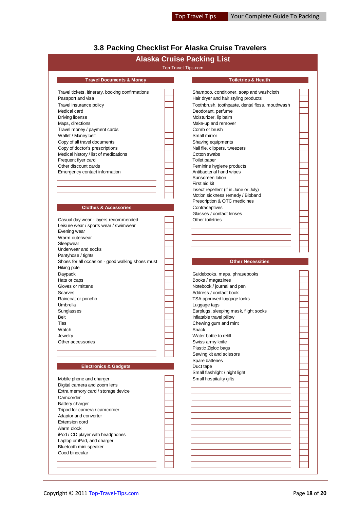# <span id="page-17-0"></span>**3.8 Packing Checklist For Alaska Cruise Travelers**

|                                                                                                                                   |                     | <b>Alaska Cruise Packing List</b>               |  |
|-----------------------------------------------------------------------------------------------------------------------------------|---------------------|-------------------------------------------------|--|
|                                                                                                                                   | Top-Travel-Tips.com |                                                 |  |
| <b>Travel Documents &amp; Money</b>                                                                                               |                     | <b>Toiletries &amp; Health</b>                  |  |
| Travel tickets, itinerary, booking confirmations                                                                                  |                     | Shampoo, conditioner, soap and washcloth        |  |
| Passport and visa                                                                                                                 |                     | Hair dryer and hair styling products            |  |
| Travel insurance policy                                                                                                           |                     | Toothbrush, toothpaste, dental floss, mouthwash |  |
| Medical card                                                                                                                      |                     | Deodorant, perfume                              |  |
| Driving license                                                                                                                   |                     | Moisturizer, lip balm                           |  |
| Maps, directions                                                                                                                  |                     | Make-up and remover                             |  |
| Travel money / payment cards                                                                                                      |                     | Comb or brush                                   |  |
| Wallet / Money belt                                                                                                               |                     | Small mirror                                    |  |
| Copy of all travel documents                                                                                                      |                     |                                                 |  |
|                                                                                                                                   |                     | Shaving equipments                              |  |
| Copy of doctor's prescriptions<br>Medical history / list of medications                                                           |                     | Nail file, clippers, tweezers<br>Cotton swabs   |  |
|                                                                                                                                   |                     |                                                 |  |
| Frequent flyer card                                                                                                               |                     | Toilet paper                                    |  |
| Other discount cards                                                                                                              |                     | Feminine hygiene products                       |  |
| Emergency contact information                                                                                                     |                     | Antibacterial hand wipes<br>Sunscreen lotion    |  |
|                                                                                                                                   |                     | First aid kit                                   |  |
|                                                                                                                                   |                     | Insect repellent (if in June or July)           |  |
|                                                                                                                                   |                     | Motion sickness remedy / Bioband                |  |
|                                                                                                                                   |                     | Prescription & OTC medicines                    |  |
| <b>Clothes &amp; Accessories</b>                                                                                                  |                     | Contraceptives                                  |  |
|                                                                                                                                   |                     | Glasses / contact lenses                        |  |
|                                                                                                                                   |                     | Other toiletries                                |  |
| Casual day wear - layers recommended                                                                                              |                     |                                                 |  |
| Leisure wear / sports wear / swimwear                                                                                             |                     |                                                 |  |
| Evening wear                                                                                                                      |                     |                                                 |  |
| Warm outerwear                                                                                                                    |                     |                                                 |  |
| Sleepwear                                                                                                                         |                     |                                                 |  |
| Underwear and socks                                                                                                               |                     |                                                 |  |
| Pantyhose / tights                                                                                                                |                     | <b>Other Necessities</b>                        |  |
| Shoes for all occasion - good walking shoes must                                                                                  |                     |                                                 |  |
| Hiking pole                                                                                                                       |                     |                                                 |  |
| Daypack                                                                                                                           |                     | Guidebooks, maps, phrasebooks                   |  |
| Hats or caps                                                                                                                      |                     | Books / magazines                               |  |
| Gloves or mittens                                                                                                                 |                     | Notebook / journal and pen                      |  |
| Scarves                                                                                                                           |                     | Address / contact book                          |  |
| Raincoat or poncho                                                                                                                |                     | TSA-approved luggage locks                      |  |
| Umbrella                                                                                                                          |                     | Luggage tags                                    |  |
| Sunglasses                                                                                                                        |                     | Earplugs, sleeping mask, flight socks           |  |
| <b>Belt</b>                                                                                                                       |                     | Inflatable travel pillow                        |  |
| lies                                                                                                                              |                     | Chewing gum and mint                            |  |
| Watch                                                                                                                             |                     | Snack                                           |  |
| Jewelry                                                                                                                           |                     | Water bottle to refill                          |  |
| Other accessories                                                                                                                 |                     | Swiss army knife                                |  |
|                                                                                                                                   |                     | Plastic Ziploc bags                             |  |
|                                                                                                                                   |                     | Sewing kit and scissors                         |  |
|                                                                                                                                   |                     | Spare batteries                                 |  |
| <b>Electronics &amp; Gadgets</b>                                                                                                  |                     | Duct tape                                       |  |
|                                                                                                                                   |                     | Small flashlight / night light                  |  |
| Mobile phone and charger                                                                                                          |                     | Small hospitality gifts                         |  |
| Digital camera and zoom lens                                                                                                      |                     |                                                 |  |
| Extra memory card / storage device                                                                                                |                     |                                                 |  |
| Camcorder                                                                                                                         |                     |                                                 |  |
| Battery charger                                                                                                                   |                     |                                                 |  |
| Tripod for camera / camcorder                                                                                                     |                     |                                                 |  |
| Adaptor and converter                                                                                                             |                     |                                                 |  |
|                                                                                                                                   |                     |                                                 |  |
|                                                                                                                                   |                     |                                                 |  |
|                                                                                                                                   |                     |                                                 |  |
|                                                                                                                                   |                     |                                                 |  |
|                                                                                                                                   |                     |                                                 |  |
|                                                                                                                                   |                     |                                                 |  |
| <b>Extension cord</b><br>Alarm clock<br>iPod / CD player with headphones<br>Laptop or iPad, and charger<br>Bluetooth mini speaker |                     |                                                 |  |
| Good binocular                                                                                                                    |                     |                                                 |  |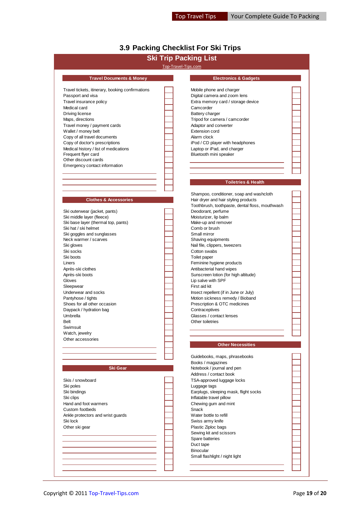# <span id="page-18-0"></span>**3.9 Packing Checklist For Ski Trips**

|                                                                         |                     | <b>Ski Trip Packing List</b>                                    |  |
|-------------------------------------------------------------------------|---------------------|-----------------------------------------------------------------|--|
|                                                                         | Top-Travel-Tips.com |                                                                 |  |
| <b>Travel Documents &amp; Money</b>                                     |                     | <b>Electronics &amp; Gadgets</b>                                |  |
|                                                                         |                     |                                                                 |  |
| Travel tickets, itinerary, booking confirmations                        |                     | Mobile phone and charger                                        |  |
| Passport and visa                                                       |                     | Digital camera and zoom lens                                    |  |
| Travel insurance policy                                                 |                     | Extra memory card / storage device                              |  |
| Medical card                                                            |                     | Camcorder                                                       |  |
| Driving license                                                         |                     | Battery charger                                                 |  |
| Maps, directions                                                        |                     | Tripod for camera / camcorder                                   |  |
| Travel money / payment cards                                            |                     | Adaptor and converter                                           |  |
| Wallet / money belt                                                     |                     | <b>Extension cord</b>                                           |  |
| Copy of all travel documents                                            |                     | Alarm clock                                                     |  |
| Copy of doctor's prescriptions<br>Medical history / list of medications |                     | iPod / CD player with headphones<br>Laptop or iPad, and charger |  |
| Frequent flyer card                                                     |                     | Bluetooth mini speaker                                          |  |
| Other discount cards                                                    |                     |                                                                 |  |
| Emergency contact information                                           |                     |                                                                 |  |
|                                                                         |                     |                                                                 |  |
|                                                                         |                     |                                                                 |  |
|                                                                         |                     | <b>Toiletries &amp; Health</b>                                  |  |
|                                                                         |                     | Shampoo, conditioner, soap and washcloth                        |  |
| <b>Clothes &amp; Accessories</b>                                        |                     | Hair dryer and hair styling products                            |  |
|                                                                         |                     | Toothbrush, toothpaste, dental floss, mouthwash                 |  |
| Ski outerwear (jacket, pants)                                           |                     | Deodorant, perfume                                              |  |
| Ski middle layer (fleece)                                               |                     | Moisturizer, lip balm                                           |  |
| Ski base layer (thermal top, pants)                                     |                     | Make-up and remover                                             |  |
| Ski hat / ski helmet                                                    |                     | Comb or brush                                                   |  |
| Ski goggles and sunglasses                                              |                     | Small mirror                                                    |  |
| Neck warmer / scarves                                                   |                     | Shaving equipments                                              |  |
| Ski gloves                                                              |                     | Nail file, clippers, tweezers                                   |  |
| Ski socks                                                               |                     | Cotton swabs                                                    |  |
| Ski boots                                                               |                     | Toilet paper                                                    |  |
| Liners                                                                  |                     | Feminine hygiene products                                       |  |
| Après-ski clothes                                                       |                     | Antibacterial hand wipes                                        |  |
| Après-ski boots                                                         |                     | Sunscreen lotion (for high altitude)                            |  |
| Gloves                                                                  |                     | Lip salve with SPF                                              |  |
| Sleepwear                                                               |                     | First aid kit                                                   |  |
| Underwear and socks                                                     |                     | Insect repellent (if in June or July)                           |  |
| Pantyhose / tights                                                      |                     | Motion sickness remedy / Bioband                                |  |
| Shoes for all other occasion                                            |                     | Prescription & OTC medicines                                    |  |
| Daypack / hydration bag                                                 |                     | Contraceptives                                                  |  |
| Umbrella                                                                |                     | Glasses / contact lenses                                        |  |
| <b>Belt</b>                                                             |                     | Other toiletries                                                |  |
| Swimsuit                                                                |                     |                                                                 |  |
| Watch, jewelry                                                          |                     |                                                                 |  |
| Other accessories                                                       |                     |                                                                 |  |
|                                                                         |                     | <b>Other Necessities</b>                                        |  |
|                                                                         |                     | Guidebooks, maps, phrasebooks                                   |  |
|                                                                         |                     | Books / magazines                                               |  |
| Ski Gear                                                                |                     | Notebook / journal and pen                                      |  |
|                                                                         |                     | Address / contact book                                          |  |
| Skis / snowboard                                                        |                     | TSA-approved luggage locks                                      |  |
| Ski poles                                                               |                     | Luggage tags                                                    |  |
| Ski bindings                                                            |                     | Earplugs, sleeping mask, flight socks                           |  |
| Ski clips                                                               |                     | Inflatable travel pillow                                        |  |
| Hand and foot warmers                                                   |                     | Chewing gum and mint                                            |  |
| Custom footbeds                                                         |                     | Snack                                                           |  |
| Ankle protectors and wrist guards                                       |                     | Water bottle to refill                                          |  |
| Ski lock                                                                |                     | Swiss army knife                                                |  |
|                                                                         |                     | Plastic Ziploc bags                                             |  |
|                                                                         |                     |                                                                 |  |
|                                                                         |                     | Sewing kit and scissors                                         |  |
| Other ski gear                                                          |                     | Spare batteries                                                 |  |
|                                                                         |                     | Duct tape                                                       |  |
|                                                                         |                     | <b>Binocular</b>                                                |  |
|                                                                         |                     | Small flashlight / night light                                  |  |
|                                                                         |                     |                                                                 |  |